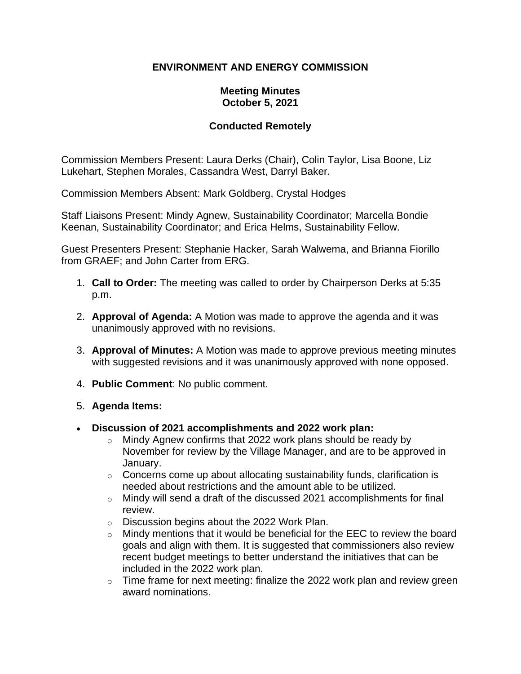## **ENVIRONMENT AND ENERGY COMMISSION**

## **Meeting Minutes October 5, 2021**

## **Conducted Remotely**

Commission Members Present: Laura Derks (Chair), Colin Taylor, Lisa Boone, Liz Lukehart, Stephen Morales, Cassandra West, Darryl Baker.

Commission Members Absent: Mark Goldberg, Crystal Hodges

Staff Liaisons Present: Mindy Agnew, Sustainability Coordinator; Marcella Bondie Keenan, Sustainability Coordinator; and Erica Helms, Sustainability Fellow.

Guest Presenters Present: Stephanie Hacker, Sarah Walwema, and Brianna Fiorillo from GRAEF; and John Carter from ERG.

- 1. **Call to Order:** The meeting was called to order by Chairperson Derks at 5:35 p.m.
- 2. **Approval of Agenda:** A Motion was made to approve the agenda and it was unanimously approved with no revisions.
- 3. **Approval of Minutes:** A Motion was made to approve previous meeting minutes with suggested revisions and it was unanimously approved with none opposed.
- 4. **Public Comment**: No public comment.
- 5. **Agenda Items:**
- **Discussion of 2021 accomplishments and 2022 work plan:**
	- $\circ$  Mindy Agnew confirms that 2022 work plans should be ready by November for review by the Village Manager, and are to be approved in January.
	- $\circ$  Concerns come up about allocating sustainability funds, clarification is needed about restrictions and the amount able to be utilized.
	- o Mindy will send a draft of the discussed 2021 accomplishments for final review.
	- o Discussion begins about the 2022 Work Plan.
	- $\circ$  Mindy mentions that it would be beneficial for the EEC to review the board goals and align with them. It is suggested that commissioners also review recent budget meetings to better understand the initiatives that can be included in the 2022 work plan.
	- $\circ$  Time frame for next meeting: finalize the 2022 work plan and review green award nominations.